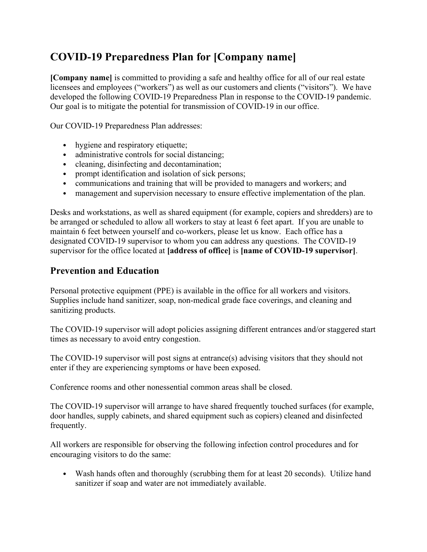# COVID-19 Preparedness Plan for [Company name]

[Company name] is committed to providing a safe and healthy office for all of our real estate licensees and employees ("workers") as well as our customers and clients ("visitors"). We have developed the following COVID-19 Preparedness Plan in response to the COVID-19 pandemic. Our goal is to mitigate the potential for transmission of COVID-19 in our office.

Our COVID-19 Preparedness Plan addresses:

- hygiene and respiratory etiquette;
- administrative controls for social distancing;
- cleaning, disinfecting and decontamination;
- prompt identification and isolation of sick persons;
- communications and training that will be provided to managers and workers; and
- management and supervision necessary to ensure effective implementation of the plan.

Desks and workstations, as well as shared equipment (for example, copiers and shredders) are to be arranged or scheduled to allow all workers to stay at least 6 feet apart. If you are unable to maintain 6 feet between yourself and co-workers, please let us know. Each office has a designated COVID-19 supervisor to whom you can address any questions. The COVID-19 supervisor for the office located at [address of office] is [name of COVID-19 supervisor].

### Prevention and Education

Personal protective equipment (PPE) is available in the office for all workers and visitors. Supplies include hand sanitizer, soap, non-medical grade face coverings, and cleaning and sanitizing products.

The COVID-19 supervisor will adopt policies assigning different entrances and/or staggered start times as necessary to avoid entry congestion.

The COVID-19 supervisor will post signs at entrance(s) advising visitors that they should not enter if they are experiencing symptoms or have been exposed.

Conference rooms and other nonessential common areas shall be closed.

The COVID-19 supervisor will arrange to have shared frequently touched surfaces (for example, door handles, supply cabinets, and shared equipment such as copiers) cleaned and disinfected frequently.

All workers are responsible for observing the following infection control procedures and for encouraging visitors to do the same:

• Wash hands often and thoroughly (scrubbing them for at least 20 seconds). Utilize hand sanitizer if soap and water are not immediately available.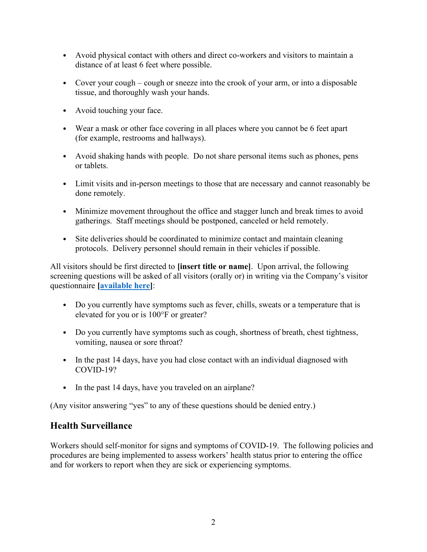- Avoid physical contact with others and direct co-workers and visitors to maintain a distance of at least 6 feet where possible.
- Cover your cough cough or sneeze into the crook of your arm, or into a disposable tissue, and thoroughly wash your hands.
- Avoid touching your face.
- Wear a mask or other face covering in all places where you cannot be 6 feet apart (for example, restrooms and hallways).
- Avoid shaking hands with people. Do not share personal items such as phones, pens or tablets.
- Limit visits and in-person meetings to those that are necessary and cannot reasonably be done remotely.
- Minimize movement throughout the office and stagger lunch and break times to avoid gatherings. Staff meetings should be postponed, canceled or held remotely.
- Site deliveries should be coordinated to minimize contact and maintain cleaning protocols. Delivery personnel should remain in their vehicles if possible.

All visitors should be first directed to **[insert title or name]**. Upon arrival, the following screening questions will be asked of all visitors (orally or) in writing via the Company's visitor questionnaire [available here]:

- Do you currently have symptoms such as fever, chills, sweats or a temperature that is elevated for you or is 100°F or greater?
- Do you currently have symptoms such as cough, shortness of breath, chest tightness, vomiting, nausea or sore throat?
- In the past 14 days, have you had close contact with an individual diagnosed with COVID-19?
- In the past 14 days, have you traveled on an airplane?

(Any visitor answering "yes" to any of these questions should be denied entry.)

#### Health Surveillance

Workers should self-monitor for signs and symptoms of COVID-19. The following policies and procedures are being implemented to assess workers' health status prior to entering the office and for workers to report when they are sick or experiencing symptoms.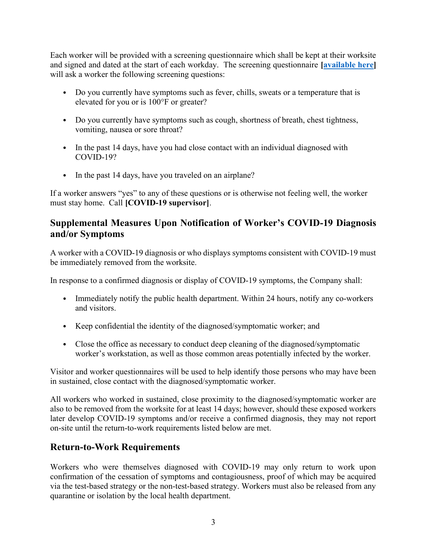Each worker will be provided with a screening questionnaire which shall be kept at their worksite and signed and dated at the start of each workday. The screening questionnaire *[available here]* will ask a worker the following screening questions:

- Do you currently have symptoms such as fever, chills, sweats or a temperature that is elevated for you or is 100°F or greater?
- Do you currently have symptoms such as cough, shortness of breath, chest tightness, vomiting, nausea or sore throat?
- In the past 14 days, have you had close contact with an individual diagnosed with COVID-19?
- In the past 14 days, have you traveled on an airplane?

If a worker answers "yes" to any of these questions or is otherwise not feeling well, the worker must stay home. Call [COVID-19 supervisor].

## Supplemental Measures Upon Notification of Worker's COVID-19 Diagnosis and/or Symptoms

A worker with a COVID-19 diagnosis or who displays symptoms consistent with COVID-19 must be immediately removed from the worksite.

In response to a confirmed diagnosis or display of COVID-19 symptoms, the Company shall:

- Immediately notify the public health department. Within 24 hours, notify any co-workers and visitors.
- Keep confidential the identity of the diagnosed/symptomatic worker; and
- Close the office as necessary to conduct deep cleaning of the diagnosed/symptomatic worker's workstation, as well as those common areas potentially infected by the worker.

Visitor and worker questionnaires will be used to help identify those persons who may have been in sustained, close contact with the diagnosed/symptomatic worker.

All workers who worked in sustained, close proximity to the diagnosed/symptomatic worker are also to be removed from the worksite for at least 14 days; however, should these exposed workers later develop COVID-19 symptoms and/or receive a confirmed diagnosis, they may not report on-site until the return-to-work requirements listed below are met.

## Return-to-Work Requirements

Workers who were themselves diagnosed with COVID-19 may only return to work upon confirmation of the cessation of symptoms and contagiousness, proof of which may be acquired via the test-based strategy or the non-test-based strategy. Workers must also be released from any quarantine or isolation by the local health department.